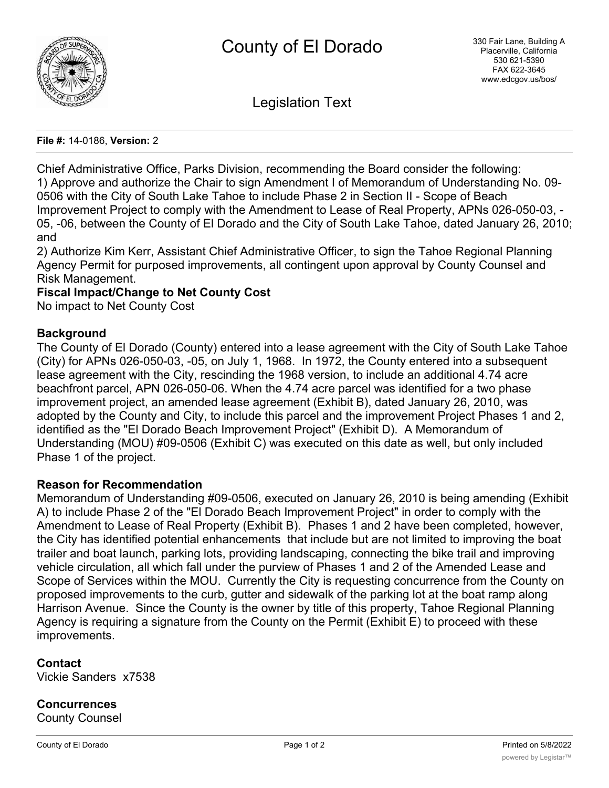

Legislation Text

#### **File #:** 14-0186, **Version:** 2

Chief Administrative Office, Parks Division, recommending the Board consider the following: 1) Approve and authorize the Chair to sign Amendment I of Memorandum of Understanding No. 09- 0506 with the City of South Lake Tahoe to include Phase 2 in Section II - Scope of Beach Improvement Project to comply with the Amendment to Lease of Real Property, APNs 026-050-03, - 05, -06, between the County of El Dorado and the City of South Lake Tahoe, dated January 26, 2010; and

2) Authorize Kim Kerr, Assistant Chief Administrative Officer, to sign the Tahoe Regional Planning Agency Permit for purposed improvements, all contingent upon approval by County Counsel and Risk Management.

## **Fiscal Impact/Change to Net County Cost**

No impact to Net County Cost

## **Background**

The County of El Dorado (County) entered into a lease agreement with the City of South Lake Tahoe (City) for APNs 026-050-03, -05, on July 1, 1968. In 1972, the County entered into a subsequent lease agreement with the City, rescinding the 1968 version, to include an additional 4.74 acre beachfront parcel, APN 026-050-06. When the 4.74 acre parcel was identified for a two phase improvement project, an amended lease agreement (Exhibit B), dated January 26, 2010, was adopted by the County and City, to include this parcel and the improvement Project Phases 1 and 2, identified as the "El Dorado Beach Improvement Project" (Exhibit D). A Memorandum of Understanding (MOU) #09-0506 (Exhibit C) was executed on this date as well, but only included Phase 1 of the project.

### **Reason for Recommendation**

Memorandum of Understanding #09-0506, executed on January 26, 2010 is being amending (Exhibit A) to include Phase 2 of the "El Dorado Beach Improvement Project" in order to comply with the Amendment to Lease of Real Property (Exhibit B). Phases 1 and 2 have been completed, however, the City has identified potential enhancements that include but are not limited to improving the boat trailer and boat launch, parking lots, providing landscaping, connecting the bike trail and improving vehicle circulation, all which fall under the purview of Phases 1 and 2 of the Amended Lease and Scope of Services within the MOU. Currently the City is requesting concurrence from the County on proposed improvements to the curb, gutter and sidewalk of the parking lot at the boat ramp along Harrison Avenue. Since the County is the owner by title of this property, Tahoe Regional Planning Agency is requiring a signature from the County on the Permit (Exhibit E) to proceed with these improvements.

### **Contact**

Vickie Sanders x7538

**Concurrences** County Counsel